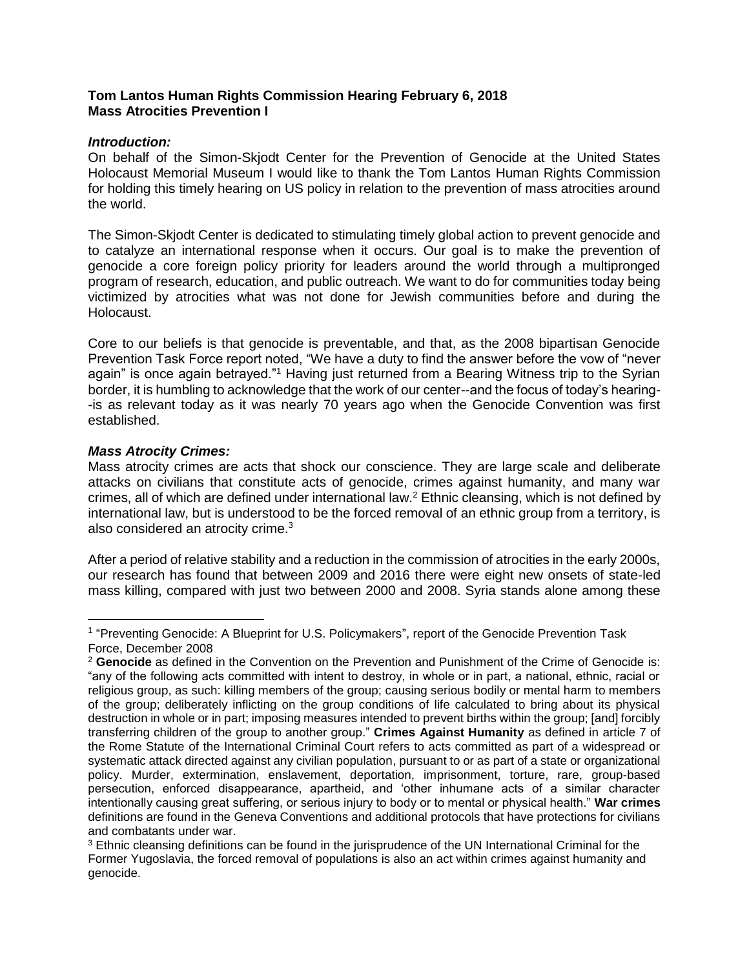## **Tom Lantos Human Rights Commission Hearing February 6, 2018 Mass Atrocities Prevention I**

### *Introduction:*

On behalf of the Simon-Skjodt Center for the Prevention of Genocide at the United States Holocaust Memorial Museum I would like to thank the Tom Lantos Human Rights Commission for holding this timely hearing on US policy in relation to the prevention of mass atrocities around the world.

The Simon-Skjodt Center is dedicated to stimulating timely global action to prevent genocide and to catalyze an international response when it occurs. Our goal is to make the prevention of genocide a core foreign policy priority for leaders around the world through a multipronged program of research, education, and public outreach. We want to do for communities today being victimized by atrocities what was not done for Jewish communities before and during the Holocaust.

Core to our beliefs is that genocide is preventable, and that, as the 2008 bipartisan Genocide Prevention Task Force report noted, "We have a duty to find the answer before the vow of "never again" is once again betrayed."<sup>1</sup> Having just returned from a Bearing Witness trip to the Syrian border, it is humbling to acknowledge that the work of our center--and the focus of today's hearing- -is as relevant today as it was nearly 70 years ago when the Genocide Convention was first established.

### *Mass Atrocity Crimes:*

 $\overline{a}$ 

Mass atrocity crimes are acts that shock our conscience. They are large scale and deliberate attacks on civilians that constitute acts of genocide, crimes against humanity, and many war crimes, all of which are defined under international law.<sup>2</sup> Ethnic cleansing, which is not defined by international law, but is understood to be the forced removal of an ethnic group from a territory, is also considered an atrocity crime.<sup>3</sup>

After a period of relative stability and a reduction in the commission of atrocities in the early 2000s, our research has found that between 2009 and 2016 there were eight new onsets of state-led mass killing, compared with just two between 2000 and 2008. Syria stands alone among these

<sup>&</sup>lt;sup>1</sup> "Preventing Genocide: A Blueprint for U.S. Policymakers", report of the Genocide Prevention Task Force, December 2008

<sup>2</sup> **Genocide** as defined in the Convention on the Prevention and Punishment of the Crime of Genocide is: "any of the following acts committed with intent to destroy, in whole or in part, a national, ethnic, racial or religious group, as such: killing members of the group; causing serious bodily or mental harm to members of the group; deliberately inflicting on the group conditions of life calculated to bring about its physical destruction in whole or in part; imposing measures intended to prevent births within the group; [and] forcibly transferring children of the group to another group." **Crimes Against Humanity** as defined in article 7 of the Rome Statute of the International Criminal Court refers to acts committed as part of a widespread or systematic attack directed against any civilian population, pursuant to or as part of a state or organizational policy. Murder, extermination, enslavement, deportation, imprisonment, torture, rare, group-based persecution, enforced disappearance, apartheid, and 'other inhumane acts of a similar character intentionally causing great suffering, or serious injury to body or to mental or physical health." **War crimes** definitions are found in the Geneva Conventions and additional protocols that have protections for civilians and combatants under war.

<sup>&</sup>lt;sup>3</sup> Ethnic cleansing definitions can be found in the jurisprudence of the UN International Criminal for the Former Yugoslavia, the forced removal of populations is also an act within crimes against humanity and genocide.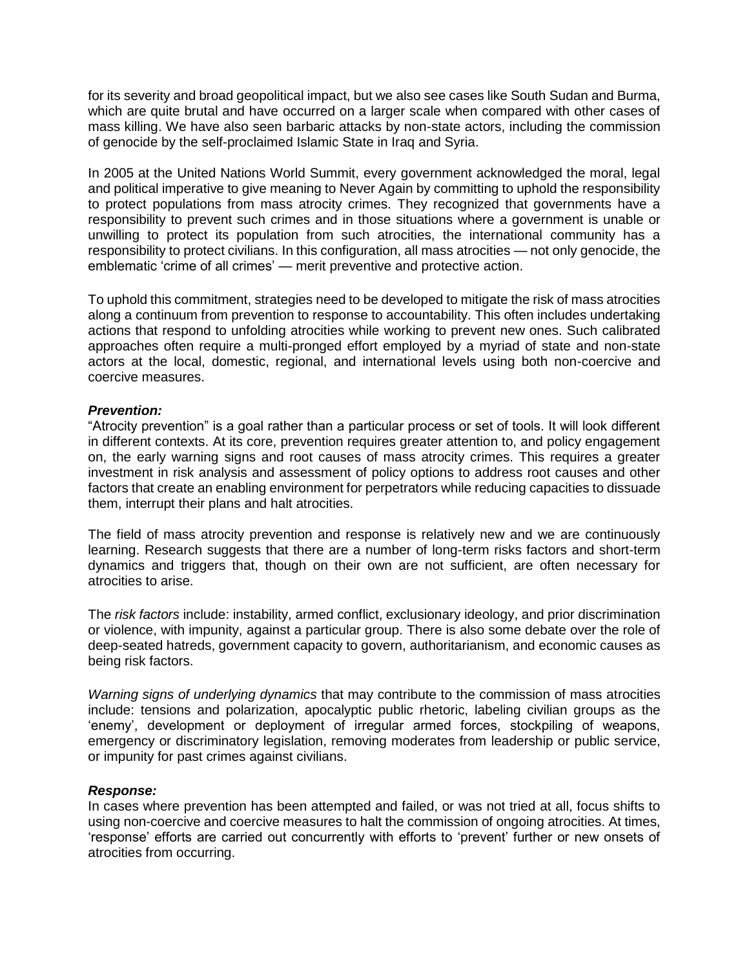for its severity and broad geopolitical impact, but we also see cases like South Sudan and Burma, which are quite brutal and have occurred on a larger scale when compared with other cases of mass killing. We have also seen barbaric attacks by non-state actors, including the commission of genocide by the self-proclaimed Islamic State in Iraq and Syria.

In 2005 at the United Nations World Summit, every government acknowledged the moral, legal and political imperative to give meaning to Never Again by committing to uphold the responsibility to protect populations from mass atrocity crimes. They recognized that governments have a responsibility to prevent such crimes and in those situations where a government is unable or unwilling to protect its population from such atrocities, the international community has a responsibility to protect civilians. In this configuration, all mass atrocities — not only genocide, the emblematic 'crime of all crimes' — merit preventive and protective action.

To uphold this commitment, strategies need to be developed to mitigate the risk of mass atrocities along a continuum from prevention to response to accountability. This often includes undertaking actions that respond to unfolding atrocities while working to prevent new ones. Such calibrated approaches often require a multi-pronged effort employed by a myriad of state and non-state actors at the local, domestic, regional, and international levels using both non-coercive and coercive measures.

### *Prevention:*

"Atrocity prevention" is a goal rather than a particular process or set of tools. It will look different in different contexts. At its core, prevention requires greater attention to, and policy engagement on, the early warning signs and root causes of mass atrocity crimes. This requires a greater investment in risk analysis and assessment of policy options to address root causes and other factors that create an enabling environment for perpetrators while reducing capacities to dissuade them, interrupt their plans and halt atrocities.

The field of mass atrocity prevention and response is relatively new and we are continuously learning. Research suggests that there are a number of long-term risks factors and short-term dynamics and triggers that, though on their own are not sufficient, are often necessary for atrocities to arise.

The *risk factors* include: instability, armed conflict, exclusionary ideology, and prior discrimination or violence, with impunity, against a particular group. There is also some debate over the role of deep-seated hatreds, government capacity to govern, authoritarianism, and economic causes as being risk factors.

*Warning signs of underlying dynamics* that may contribute to the commission of mass atrocities include: tensions and polarization, apocalyptic public rhetoric, labeling civilian groups as the 'enemy', development or deployment of irregular armed forces, stockpiling of weapons, emergency or discriminatory legislation, removing moderates from leadership or public service, or impunity for past crimes against civilians.

#### *Response:*

In cases where prevention has been attempted and failed, or was not tried at all, focus shifts to using non-coercive and coercive measures to halt the commission of ongoing atrocities. At times, 'response' efforts are carried out concurrently with efforts to 'prevent' further or new onsets of atrocities from occurring.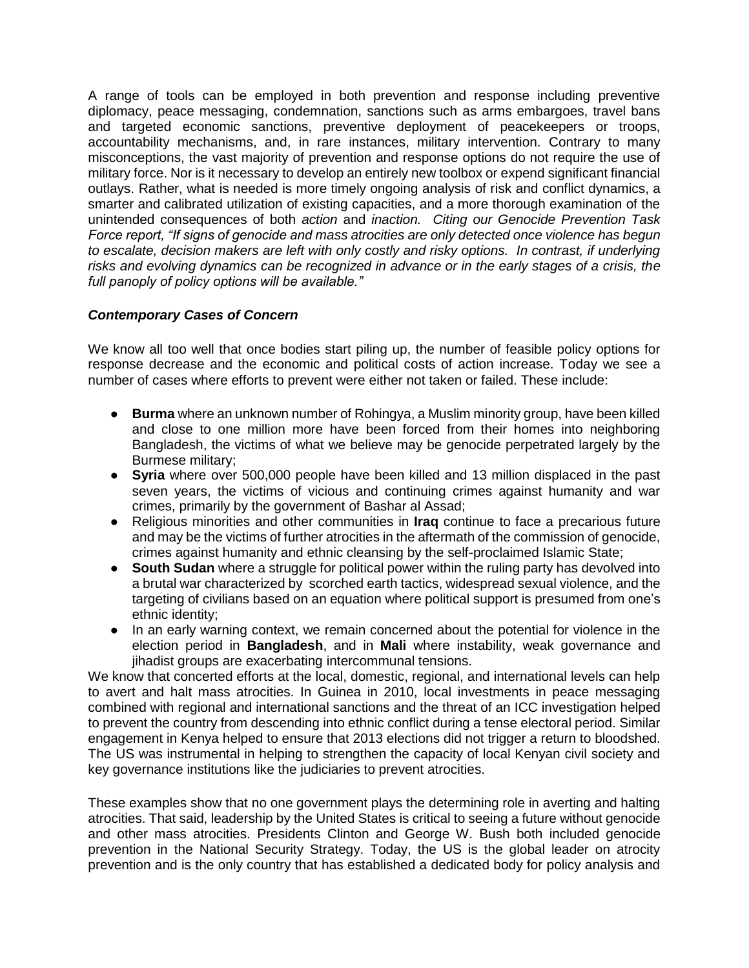A range of tools can be employed in both prevention and response including preventive diplomacy, peace messaging, condemnation, sanctions such as arms embargoes, travel bans and targeted economic sanctions, preventive deployment of peacekeepers or troops, accountability mechanisms, and, in rare instances, military intervention. Contrary to many misconceptions, the vast majority of prevention and response options do not require the use of military force. Nor is it necessary to develop an entirely new toolbox or expend significant financial outlays. Rather, what is needed is more timely ongoing analysis of risk and conflict dynamics, a smarter and calibrated utilization of existing capacities, and a more thorough examination of the unintended consequences of both *action* and *inaction. Citing our Genocide Prevention Task Force report, "If signs of genocide and mass atrocities are only detected once violence has begun to escalate, decision makers are left with only costly and risky options. In contrast, if underlying risks and evolving dynamics can be recognized in advance or in the early stages of a crisis, the full panoply of policy options will be available."*

# *Contemporary Cases of Concern*

We know all too well that once bodies start piling up, the number of feasible policy options for response decrease and the economic and political costs of action increase. Today we see a number of cases where efforts to prevent were either not taken or failed. These include:

- **Burma** where an unknown number of Rohingya, a Muslim minority group, have been killed and close to one million more have been forced from their homes into neighboring Bangladesh, the victims of what we believe may be genocide perpetrated largely by the Burmese military;
- **Syria** where over 500,000 people have been killed and 13 million displaced in the past seven years, the victims of vicious and continuing crimes against humanity and war crimes, primarily by the government of Bashar al Assad;
- Religious minorities and other communities in **Iraq** continue to face a precarious future and may be the victims of further atrocities in the aftermath of the commission of genocide, crimes against humanity and ethnic cleansing by the self-proclaimed Islamic State;
- **South Sudan** where a struggle for political power within the ruling party has devolved into a brutal war characterized by scorched earth tactics, widespread sexual violence, and the targeting of civilians based on an equation where political support is presumed from one's ethnic identity;
- In an early warning context, we remain concerned about the potential for violence in the election period in **Bangladesh**, and in **Mali** where instability, weak governance and iihadist groups are exacerbating intercommunal tensions.

We know that concerted efforts at the local, domestic, regional, and international levels can help to avert and halt mass atrocities. In Guinea in 2010, local investments in peace messaging combined with regional and international sanctions and the threat of an ICC investigation helped to prevent the country from descending into ethnic conflict during a tense electoral period. Similar engagement in Kenya helped to ensure that 2013 elections did not trigger a return to bloodshed. The US was instrumental in helping to strengthen the capacity of local Kenyan civil society and key governance institutions like the judiciaries to prevent atrocities.

These examples show that no one government plays the determining role in averting and halting atrocities. That said, leadership by the United States is critical to seeing a future without genocide and other mass atrocities. Presidents Clinton and George W. Bush both included genocide prevention in the National Security Strategy. Today, the US is the global leader on atrocity prevention and is the only country that has established a dedicated body for policy analysis and